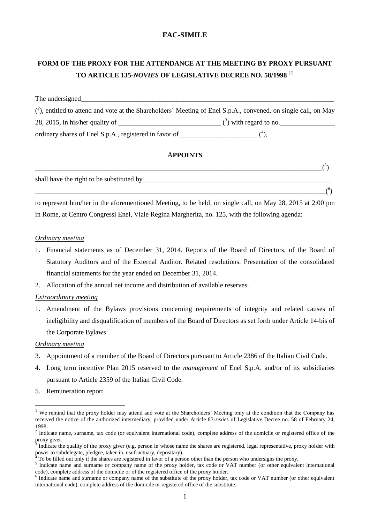# **FAC-SIMILE**

# **FORM OF THE PROXY FOR THE ATTENDANCE AT THE MEETING BY PROXY PURSUANT TO ARTICLE 135-***NOVIES* **OF LEGISLATIVE DECREE NO. 58/1998** (*1*)

| The undersigned                                                                                                   |                                                   |  |
|-------------------------------------------------------------------------------------------------------------------|---------------------------------------------------|--|
| $(2)$ , entitled to attend and vote at the Shareholders' Meeting of Enel S.p.A., convened, on single call, on May |                                                   |  |
| 28, 2015, in his/her quality of                                                                                   | $\frac{1}{2}$ ( <sup>3</sup> ) with regard to no. |  |
| ordinary shares of Enel S.p.A., registered in favor of                                                            |                                                   |  |

## A**PPOINTS**

| shall have the right to be substituted by                                                                  |  |
|------------------------------------------------------------------------------------------------------------|--|
|                                                                                                            |  |
| to represent him/her in the aforementioned Meeting, to be held, on single call, on May 28, 2015 at 2:00 pm |  |

in Rome, at Centro Congressi Enel, Viale Regina Margherita, no. 125, with the following agenda:

### *Ordinary meeting*

- 1. Financial statements as of December 31, 2014. Reports of the Board of Directors, of the Board of Statutory Auditors and of the External Auditor. Related resolutions. Presentation of the consolidated financial statements for the year ended on December 31, 2014.
- 2. Allocation of the annual net income and distribution of available reserves.

## *Extraordinary meeting*

1. Amendment of the Bylaws provisions concerning requirements of integrity and related causes of ineligibility and disqualification of members of the Board of Directors as set forth under Article 14-bis of the Corporate Bylaws

### *Ordinary meeting*

1

- 3. Appointment of a member of the Board of Directors pursuant to Article 2386 of the Italian Civil Code.
- 4. Long term incentive Plan 2015 reserved to the *management* of Enel S.p.A. and/or of its subsidiaries pursuant to Article 2359 of the Italian Civil Code.
- 5. Remuneration report

<sup>&</sup>lt;sup>1</sup> We remind that the proxy holder may attend and vote at the Shareholders' Meeting only at the condition that the Company has received the notice of the authorized intermediary, provided under Article 83-*sexie*s of Legislative Decree no. 58 of February 24, 1998.

<sup>&</sup>lt;sup>2</sup> Indicate name, surname, tax code (or equivalent international code), complete address of the domicile or registered office of the proxy giver.

<sup>3</sup> Indicate the quality of the proxy giver (e.g. person in whose name the shares are registered, legal representative, proxy holder with power to subdelegate, pledgee, taker-in, usufructuary, depositary).

<sup>4</sup> To be filled out only if the shares are registered in favor of a person other than the person who undersigns the proxy.

<sup>&</sup>lt;sup>5</sup> Indicate name and surname or company name of the proxy holder, tax code or VAT number (or other equivalent international code), complete address of the domicile or of the registered office of the proxy holder.

Indicate name and surname or company name of the substitute of the proxy holder, tax code or VAT number (or other equivalent international code), complete address of the domicile or registered office of the substitute.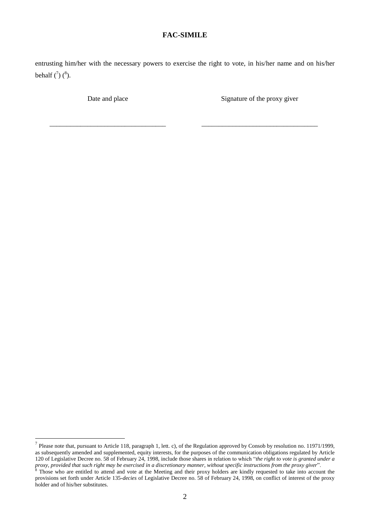## **FAC-SIMILE**

entrusting him/her with the necessary powers to exercise the right to vote, in his/her name and on his/her behalf  $\binom{7}{0}$   $\binom{8}{0}$ .

\_\_\_\_\_\_\_\_\_\_\_\_\_\_\_\_\_\_\_\_\_\_\_\_\_\_\_\_\_\_\_\_\_\_ \_\_\_\_\_\_\_\_\_\_\_\_\_\_\_\_\_\_\_\_\_\_\_\_\_\_\_\_\_\_\_\_\_\_

1

Date and place Signature of the proxy given

<sup>&</sup>lt;sup>7</sup> Please note that, pursuant to Article 118, paragraph 1, lett. c), of the Regulation approved by Consob by resolution no. 11971/1999, as subsequently amended and supplemented, equity interests, for the purposes of the communication obligations regulated by Article 120 of Legislative Decree no. 58 of February 24, 1998, include those shares in relation to which "*the right to vote is granted under a proxy, provided that such right may be exercised in a discretionary manner, without specific instructions from the proxy giver*".

<sup>&</sup>lt;sup>8</sup> Those who are entitled to attend and vote at the Meeting and their proxy holders are kindly requested to take into account the provisions set forth under Article 135-*decies* of Legislative Decree no. 58 of February 24, 1998, on conflict of interest of the proxy holder and of his/her substitutes.